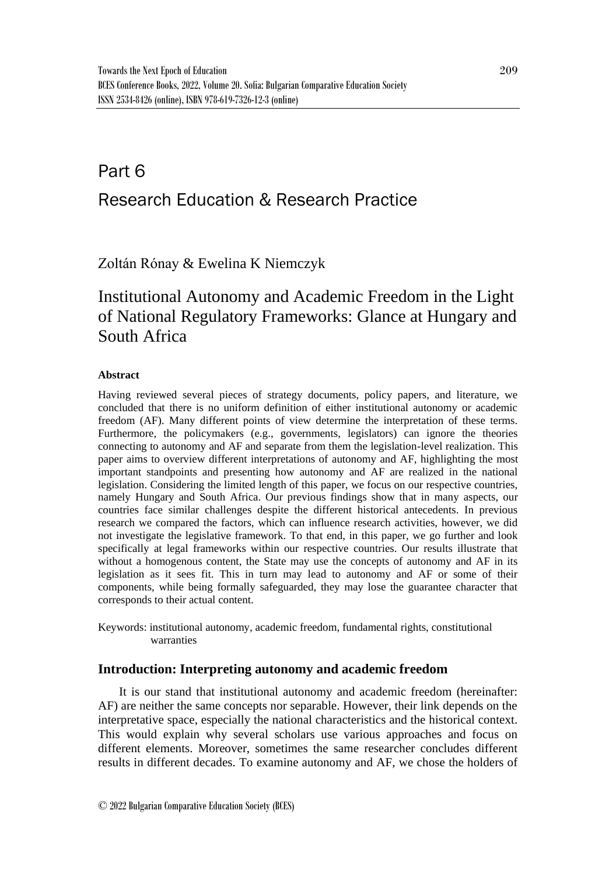# Part 6 Research Education & Research Practice

Zoltán Rónay & Ewelina K Niemczyk

# Institutional Autonomy and Academic Freedom in the Light of National Regulatory Frameworks: Glance at Hungary and South Africa

### **Abstract**

Having reviewed several pieces of strategy documents, policy papers, and literature, we concluded that there is no uniform definition of either institutional autonomy or academic freedom (AF). Many different points of view determine the interpretation of these terms. Furthermore, the policymakers (e.g., governments, legislators) can ignore the theories connecting to autonomy and AF and separate from them the legislation-level realization. This paper aims to overview different interpretations of autonomy and AF, highlighting the most important standpoints and presenting how autonomy and AF are realized in the national legislation. Considering the limited length of this paper, we focus on our respective countries, namely Hungary and South Africa. Our previous findings show that in many aspects, our countries face similar challenges despite the different historical antecedents. In previous research we compared the factors, which can influence research activities, however, we did not investigate the legislative framework. To that end, in this paper, we go further and look specifically at legal frameworks within our respective countries. Our results illustrate that without a homogenous content, the State may use the concepts of autonomy and AF in its legislation as it sees fit. This in turn may lead to autonomy and AF or some of their components, while being formally safeguarded, they may lose the guarantee character that corresponds to their actual content.

Keywords: institutional autonomy, academic freedom, fundamental rights, constitutional warranties

## **Introduction: Interpreting autonomy and academic freedom**

It is our stand that institutional autonomy and academic freedom (hereinafter: AF) are neither the same concepts nor separable. However, their link depends on the interpretative space, especially the national characteristics and the historical context. This would explain why several scholars use various approaches and focus on different elements. Moreover, sometimes the same researcher concludes different results in different decades. To examine autonomy and AF, we chose the holders of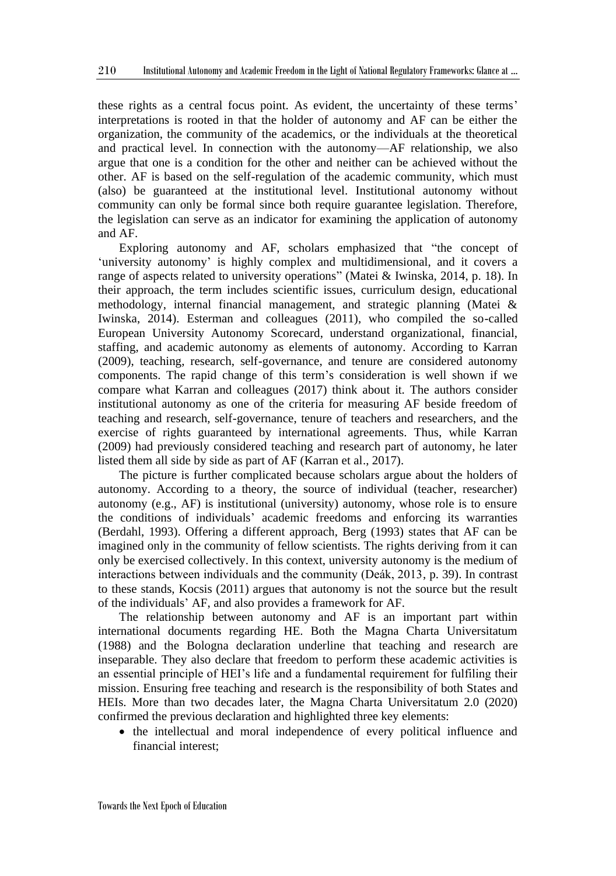these rights as a central focus point. As evident, the uncertainty of these terms' interpretations is rooted in that the holder of autonomy and AF can be either the organization, the community of the academics, or the individuals at the theoretical and practical level. In connection with the autonomy—AF relationship, we also argue that one is a condition for the other and neither can be achieved without the other. AF is based on the self-regulation of the academic community, which must (also) be guaranteed at the institutional level. Institutional autonomy without community can only be formal since both require guarantee legislation. Therefore, the legislation can serve as an indicator for examining the application of autonomy and AF.

Exploring autonomy and AF, scholars emphasized that "the concept of 'university autonomy' is highly complex and multidimensional, and it covers a range of aspects related to university operations" (Matei & Iwinska, 2014, p. 18). In their approach, the term includes scientific issues, curriculum design, educational methodology, internal financial management, and strategic planning (Matei & Iwinska, 2014). Esterman and colleagues (2011), who compiled the so-called European University Autonomy Scorecard, understand organizational, financial, staffing, and academic autonomy as elements of autonomy. According to Karran (2009), teaching, research, self-governance, and tenure are considered autonomy components. The rapid change of this term's consideration is well shown if we compare what Karran and colleagues (2017) think about it. The authors consider institutional autonomy as one of the criteria for measuring AF beside freedom of teaching and research, self-governance, tenure of teachers and researchers, and the exercise of rights guaranteed by international agreements. Thus, while Karran (2009) had previously considered teaching and research part of autonomy, he later listed them all side by side as part of AF (Karran et al., 2017).

The picture is further complicated because scholars argue about the holders of autonomy. According to a theory, the source of individual (teacher, researcher) autonomy (e.g., AF) is institutional (university) autonomy, whose role is to ensure the conditions of individuals' academic freedoms and enforcing its warranties (Berdahl, 1993). Offering a different approach, Berg (1993) states that AF can be imagined only in the community of fellow scientists. The rights deriving from it can only be exercised collectively. In this context, university autonomy is the medium of interactions between individuals and the community (Deák, 2013, p. 39). In contrast to these stands, Kocsis (2011) argues that autonomy is not the source but the result of the individuals' AF, and also provides a framework for AF.

The relationship between autonomy and AF is an important part within international documents regarding HE. Both the Magna Charta Universitatum (1988) and the Bologna declaration underline that teaching and research are inseparable. They also declare that freedom to perform these academic activities is an essential principle of HEI's life and a fundamental requirement for fulfiling their mission. Ensuring free teaching and research is the responsibility of both States and HEIs. More than two decades later, the Magna Charta Universitatum 2.0 (2020) confirmed the previous declaration and highlighted three key elements:

• the intellectual and moral independence of every political influence and financial interest;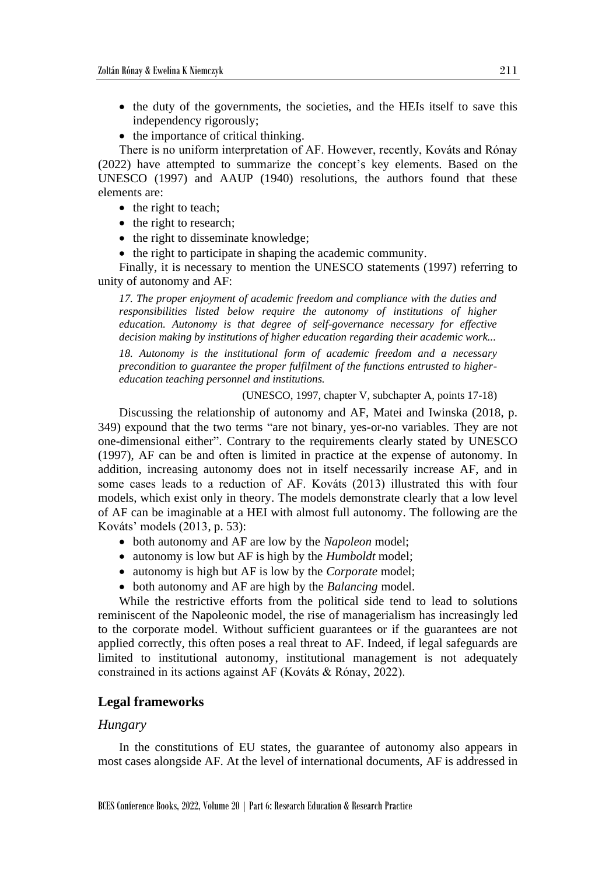- the duty of the governments, the societies, and the HEIs itself to save this independency rigorously;
- the importance of critical thinking.

There is no uniform interpretation of AF. However, recently, Kováts and Rónay (2022) have attempted to summarize the concept's key elements. Based on the UNESCO (1997) and AAUP (1940) resolutions, the authors found that these elements are:

- the right to teach;
- the right to research;
- the right to disseminate knowledge;
- the right to participate in shaping the academic community.

Finally, it is necessary to mention the UNESCO statements (1997) referring to unity of autonomy and AF:

*17. The proper enjoyment of academic freedom and compliance with the duties and responsibilities listed below require the autonomy of institutions of higher education. Autonomy is that degree of self-governance necessary for effective decision making by institutions of higher education regarding their academic work...* 

*18. Autonomy is the institutional form of academic freedom and a necessary precondition to guarantee the proper fulfilment of the functions entrusted to highereducation teaching personnel and institutions.* 

(UNESCO, 1997, chapter V, subchapter A, points 17-18)

Discussing the relationship of autonomy and AF, Matei and Iwinska (2018, p. 349) expound that the two terms "are not binary, yes-or-no variables. They are not one-dimensional either". Contrary to the requirements clearly stated by UNESCO (1997), AF can be and often is limited in practice at the expense of autonomy. In addition, increasing autonomy does not in itself necessarily increase AF, and in some cases leads to a reduction of AF. Kováts (2013) illustrated this with four models, which exist only in theory. The models demonstrate clearly that a low level of AF can be imaginable at a HEI with almost full autonomy. The following are the Kováts' models (2013, p. 53):

- both autonomy and AF are low by the *Napoleon* model;
- autonomy is low but AF is high by the *Humboldt* model;
- autonomy is high but AF is low by the *Corporate* model;
- both autonomy and AF are high by the *Balancing* model.

While the restrictive efforts from the political side tend to lead to solutions reminiscent of the Napoleonic model, the rise of managerialism has increasingly led to the corporate model. Without sufficient guarantees or if the guarantees are not applied correctly, this often poses a real threat to AF. Indeed, if legal safeguards are limited to institutional autonomy, institutional management is not adequately constrained in its actions against AF (Kováts & Rónay, 2022).

#### **Legal frameworks**

#### *Hungary*

In the constitutions of EU states, the guarantee of autonomy also appears in most cases alongside AF. At the level of international documents, AF is addressed in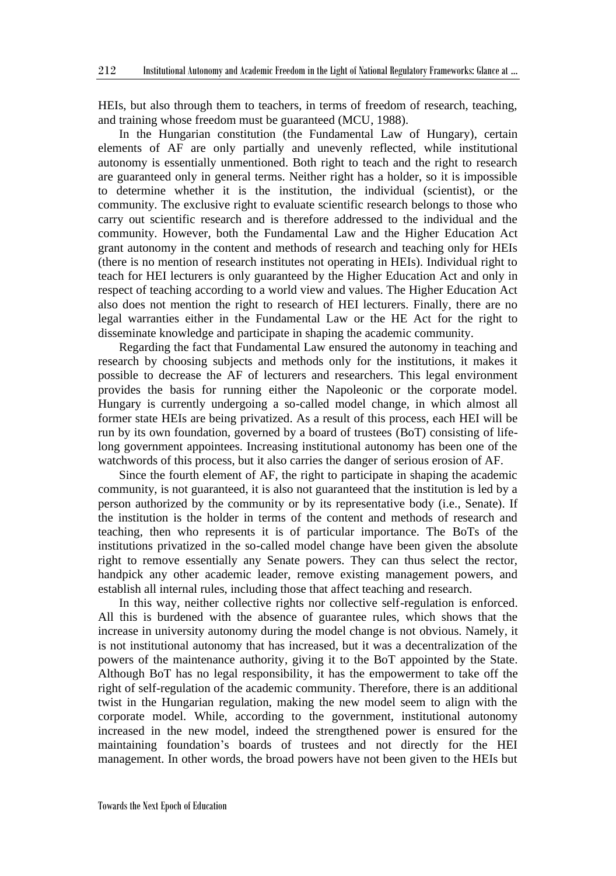HEIs, but also through them to teachers, in terms of freedom of research, teaching, and training whose freedom must be guaranteed (MCU, 1988).

In the Hungarian constitution (the Fundamental Law of Hungary), certain elements of AF are only partially and unevenly reflected, while institutional autonomy is essentially unmentioned. Both right to teach and the right to research are guaranteed only in general terms. Neither right has a holder, so it is impossible to determine whether it is the institution, the individual (scientist), or the community. The exclusive right to evaluate scientific research belongs to those who carry out scientific research and is therefore addressed to the individual and the community. However, both the Fundamental Law and the Higher Education Act grant autonomy in the content and methods of research and teaching only for HEIs (there is no mention of research institutes not operating in HEIs). Individual right to teach for HEI lecturers is only guaranteed by the Higher Education Act and only in respect of teaching according to a world view and values. The Higher Education Act also does not mention the right to research of HEI lecturers. Finally, there are no legal warranties either in the Fundamental Law or the HE Act for the right to disseminate knowledge and participate in shaping the academic community.

Regarding the fact that Fundamental Law ensured the autonomy in teaching and research by choosing subjects and methods only for the institutions, it makes it possible to decrease the AF of lecturers and researchers. This legal environment provides the basis for running either the Napoleonic or the corporate model. Hungary is currently undergoing a so-called model change, in which almost all former state HEIs are being privatized. As a result of this process, each HEI will be run by its own foundation, governed by a board of trustees (BoT) consisting of lifelong government appointees. Increasing institutional autonomy has been one of the watchwords of this process, but it also carries the danger of serious erosion of AF.

Since the fourth element of AF, the right to participate in shaping the academic community, is not guaranteed, it is also not guaranteed that the institution is led by a person authorized by the community or by its representative body (i.e., Senate). If the institution is the holder in terms of the content and methods of research and teaching, then who represents it is of particular importance. The BoTs of the institutions privatized in the so-called model change have been given the absolute right to remove essentially any Senate powers. They can thus select the rector, handpick any other academic leader, remove existing management powers, and establish all internal rules, including those that affect teaching and research.

In this way, neither collective rights nor collective self-regulation is enforced. All this is burdened with the absence of guarantee rules, which shows that the increase in university autonomy during the model change is not obvious. Namely, it is not institutional autonomy that has increased, but it was a decentralization of the powers of the maintenance authority, giving it to the BoT appointed by the State. Although BoT has no legal responsibility, it has the empowerment to take off the right of self-regulation of the academic community. Therefore, there is an additional twist in the Hungarian regulation, making the new model seem to align with the corporate model. While, according to the government, institutional autonomy increased in the new model, indeed the strengthened power is ensured for the maintaining foundation's boards of trustees and not directly for the HEI management. In other words, the broad powers have not been given to the HEIs but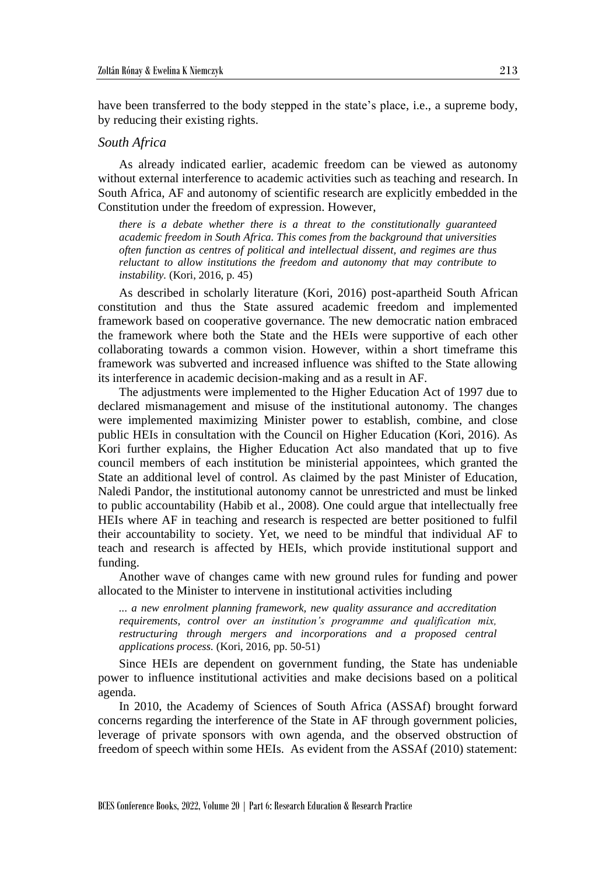have been transferred to the body stepped in the state's place, i.e., a supreme body, by reducing their existing rights.

#### *South Africa*

As already indicated earlier, academic freedom can be viewed as autonomy without external interference to academic activities such as teaching and research. In South Africa, AF and autonomy of scientific research are explicitly embedded in the Constitution under the freedom of expression. However,

*there is a debate whether there is a threat to the constitutionally guaranteed academic freedom in South Africa. This comes from the background that universities often function as centres of political and intellectual dissent, and regimes are thus reluctant to allow institutions the freedom and autonomy that may contribute to instability.* (Kori, 2016, p. 45)

As described in scholarly literature (Kori, 2016) post-apartheid South African constitution and thus the State assured academic freedom and implemented framework based on cooperative governance. The new democratic nation embraced the framework where both the State and the HEIs were supportive of each other collaborating towards a common vision. However, within a short timeframe this framework was subverted and increased influence was shifted to the State allowing its interference in academic decision-making and as a result in AF.

The adjustments were implemented to the Higher Education Act of 1997 due to declared mismanagement and misuse of the institutional autonomy. The changes were implemented maximizing Minister power to establish, combine, and close public HEIs in consultation with the Council on Higher Education (Kori, 2016). As Kori further explains, the Higher Education Act also mandated that up to five council members of each institution be ministerial appointees, which granted the State an additional level of control. As claimed by the past Minister of Education, Naledi Pandor, the institutional autonomy cannot be unrestricted and must be linked to public accountability (Habib et al., 2008). One could argue that intellectually free HEIs where AF in teaching and research is respected are better positioned to fulfil their accountability to society. Yet, we need to be mindful that individual AF to teach and research is affected by HEIs, which provide institutional support and funding.

Another wave of changes came with new ground rules for funding and power allocated to the Minister to intervene in institutional activities including

*... a new enrolment planning framework, new quality assurance and accreditation requirements, control over an institution's programme and qualification mix, restructuring through mergers and incorporations and a proposed central applications process.* (Kori, 2016, pp. 50-51)

Since HEIs are dependent on government funding, the State has undeniable power to influence institutional activities and make decisions based on a political agenda.

In 2010, the Academy of Sciences of South Africa (ASSAf) brought forward concerns regarding the interference of the State in AF through government policies, leverage of private sponsors with own agenda, and the observed obstruction of freedom of speech within some HEIs. As evident from the ASSAf (2010) statement: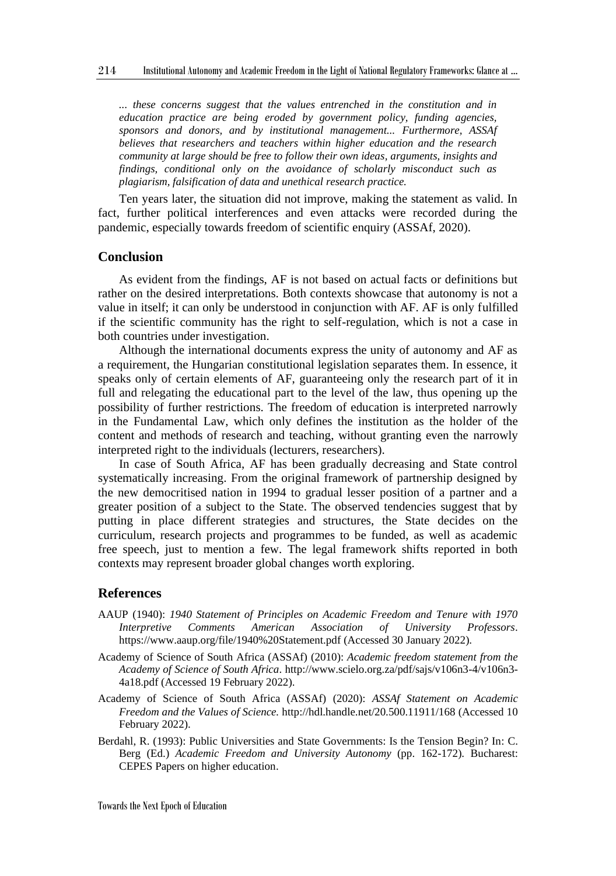*... these concerns suggest that the values entrenched in the constitution and in education practice are being eroded by government policy, funding agencies, sponsors and donors, and by institutional management... Furthermore, ASSAf believes that researchers and teachers within higher education and the research community at large should be free to follow their own ideas, arguments, insights and findings, conditional only on the avoidance of scholarly misconduct such as plagiarism, falsification of data and unethical research practice.*

Ten years later, the situation did not improve, making the statement as valid. In fact, further political interferences and even attacks were recorded during the pandemic, especially towards freedom of scientific enquiry (ASSAf, 2020).

#### **Conclusion**

As evident from the findings, AF is not based on actual facts or definitions but rather on the desired interpretations. Both contexts showcase that autonomy is not a value in itself; it can only be understood in conjunction with AF. AF is only fulfilled if the scientific community has the right to self-regulation, which is not a case in both countries under investigation.

Although the international documents express the unity of autonomy and AF as a requirement, the Hungarian constitutional legislation separates them. In essence, it speaks only of certain elements of AF, guaranteeing only the research part of it in full and relegating the educational part to the level of the law, thus opening up the possibility of further restrictions. The freedom of education is interpreted narrowly in the Fundamental Law, which only defines the institution as the holder of the content and methods of research and teaching, without granting even the narrowly interpreted right to the individuals (lecturers, researchers).

In case of South Africa, AF has been gradually decreasing and State control systematically increasing. From the original framework of partnership designed by the new democritised nation in 1994 to gradual lesser position of a partner and a greater position of a subject to the State. The observed tendencies suggest that by putting in place different strategies and structures, the State decides on the curriculum, research projects and programmes to be funded, as well as academic free speech, just to mention a few. The legal framework shifts reported in both contexts may represent broader global changes worth exploring.

#### **References**

- AAUP (1940): *1940 Statement of Principles on Academic Freedom and Tenure with 1970 Interpretive Comments American Association of University Professors*. https://www.aaup.org/file/1940%20Statement.pdf (Accessed 30 January 2022).
- Academy of Science of South Africa (ASSAf) (2010): *Academic freedom statement from the Academy of Science of South Africa*. http://www.scielo.org.za/pdf/sajs/v106n3-4/v106n3- 4a18.pdf (Accessed 19 February 2022).
- Academy of Science of South Africa (ASSAf) (2020): *ASSAf Statement on Academic Freedom and the Values of Science.* http://hdl.handle.net/20.500.11911/168 (Accessed 10 February 2022).
- Berdahl, R. (1993): Public Universities and State Governments: Is the Tension Begin? In: C. Berg (Ed.) *Academic Freedom and University Autonomy* (pp. 162-172). Bucharest: CEPES Papers on higher education.